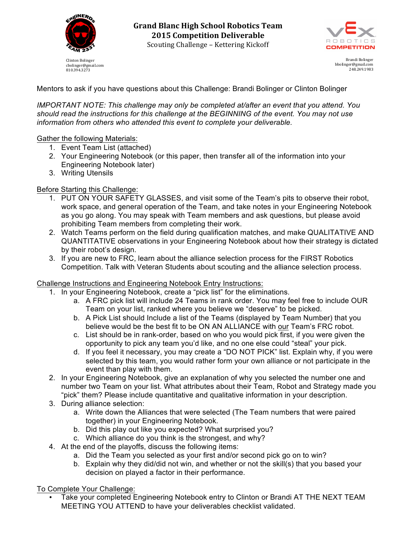

cbolinger@gmail.com 810.394.3273

**Grand Blanc High School Robotics Team 2015 Competition Deliverable** Scouting Challenge - Kettering Kickoff



Brandi Bolinger bbolinger@gmail.com 248.249.1983

Mentors to ask if you have questions about this Challenge: Brandi Bolinger or Clinton Bolinger

*IMPORTANT NOTE: This challenge may only be completed at/after an event that you attend. You should read the instructions for this challenge at the BEGINNING of the event. You may not use information from others who attended this event to complete your deliverable.*

#### Gather the following Materials:

- 1. Event Team List (attached)
- 2. Your Engineering Notebook (or this paper, then transfer all of the information into your Engineering Notebook later)
- 3. Writing Utensils

### Before Starting this Challenge:

- 1. PUT ON YOUR SAFETY GLASSES, and visit some of the Team's pits to observe their robot, work space, and general operation of the Team, and take notes in your Engineering Notebook as you go along. You may speak with Team members and ask questions, but please avoid prohibiting Team members from completing their work.
- 2. Watch Teams perform on the field during qualification matches, and make QUALITATIVE AND QUANTITATIVE observations in your Engineering Notebook about how their strategy is dictated by their robot's design.
- 3. If you are new to FRC, learn about the alliance selection process for the FIRST Robotics Competition. Talk with Veteran Students about scouting and the alliance selection process.

#### Challenge Instructions and Engineering Notebook Entry Instructions:

- 1. In your Engineering Notebook, create a "pick list" for the eliminations.
	- a. A FRC pick list will include 24 Teams in rank order. You may feel free to include OUR Team on your list, ranked where you believe we "deserve" to be picked.
	- b. A Pick List should Include a list of the Teams (displayed by Team Number) that you believe would be the best fit to be ON AN ALLIANCE with our Team's FRC robot.
	- c. List should be in rank-order, based on who you would pick first, if you were given the opportunity to pick any team you'd like, and no one else could "steal" your pick.
	- d. If you feel it necessary, you may create a "DO NOT PICK" list. Explain why, if you were selected by this team, you would rather form your own alliance or not participate in the event than play with them.
- 2. In your Engineering Notebook, give an explanation of why you selected the number one and number two Team on your list. What attributes about their Team, Robot and Strategy made you "pick" them? Please include quantitative and qualitative information in your description.
- 3. During alliance selection:
	- a. Write down the Alliances that were selected (The Team numbers that were paired together) in your Engineering Notebook.
	- b. Did this play out like you expected? What surprised you?
	- c. Which alliance do you think is the strongest, and why?
- 4. At the end of the playoffs, discuss the following items:
	- a. Did the Team you selected as your first and/or second pick go on to win?
	- b. Explain why they did/did not win, and whether or not the skill(s) that you based your decision on played a factor in their performance.

To Complete Your Challenge:

Take your completed Engineering Notebook entry to Clinton or Brandi AT THE NEXT TEAM MEETING YOU ATTEND to have your deliverables checklist validated.